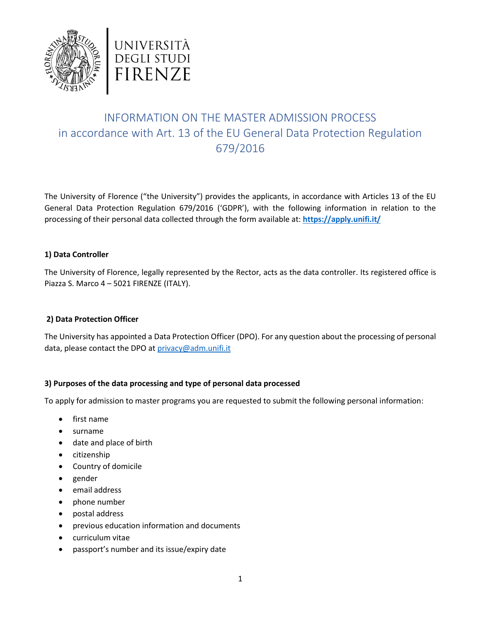



# INFORMATION ON THE MASTER ADMISSION PROCESS in accordance with Art. 13 of the EU General Data Protection Regulation 679/2016

The University of Florence ("the University") provides the applicants, in accordance with Articles 13 of the EU General Data Protection Regulation 679/2016 ('GDPR'), with the following information in relation to the processing of their personal data collected through the form available at: **<https://apply.unifi.it/>**

## **1) Data Controller**

The University of Florence, legally represented by the Rector, acts as the data controller. Its registered office is Piazza S. Marco 4 – 5021 FIRENZE (ITALY).

## **2) Data Protection Officer**

The University has appointed a Data Protection Officer (DPO). For any question about the processing of personal data, please contact the DPO at [privacy@adm.unifi.it](mailto:privacy@adm.unifi.it)

## **3) Purposes of the data processing and type of personal data processed**

To apply for admission to master programs you are requested to submit the following personal information:

- first name
- surname
- date and place of birth
- citizenship
- Country of domicile
- gender
- email address
- phone number
- postal address
- previous education information and documents
- curriculum vitae
- passport's number and its issue/expiry date